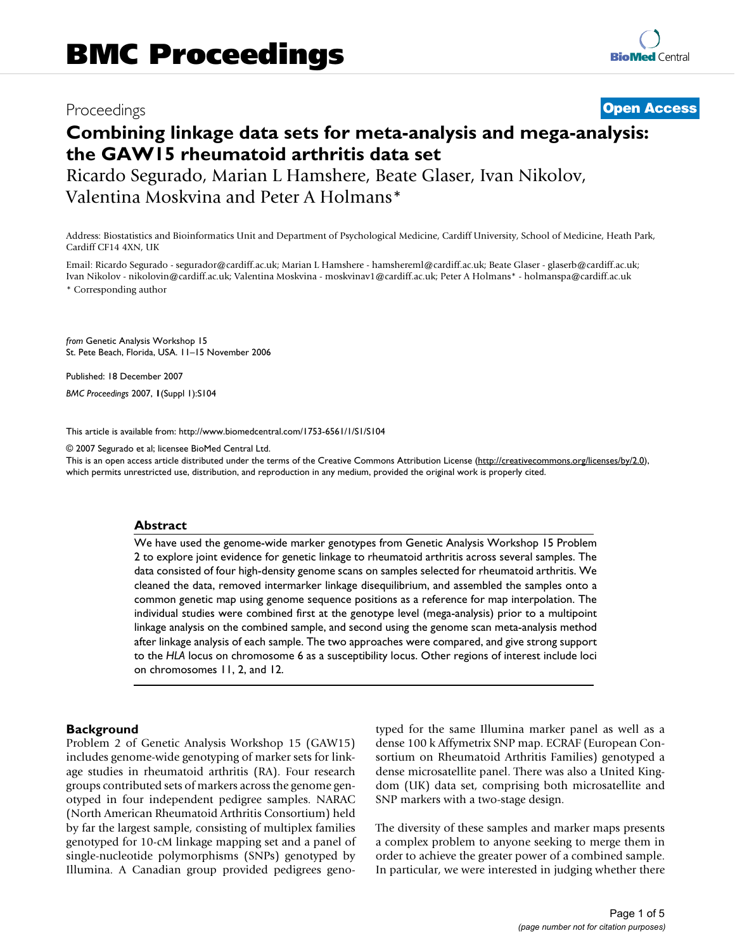# Proceedings **[Open Access](http://www.biomedcentral.com/info/about/charter/)**

# **Combining linkage data sets for meta-analysis and mega-analysis: the GAW15 rheumatoid arthritis data set**

Ricardo Segurado, Marian L Hamshere, Beate Glaser, Ivan Nikolov, Valentina Moskvina and Peter A Holmans\*

Address: Biostatistics and Bioinformatics Unit and Department of Psychological Medicine, Cardiff University, School of Medicine, Heath Park, Cardiff CF14 4XN, UK

Email: Ricardo Segurado - segurador@cardiff.ac.uk; Marian L Hamshere - hamshereml@cardiff.ac.uk; Beate Glaser - glaserb@cardiff.ac.uk; Ivan Nikolov - nikolovin@cardiff.ac.uk; Valentina Moskvina - moskvinav1@cardiff.ac.uk; Peter A Holmans\* - holmanspa@cardiff.ac.uk \* Corresponding author

*from* Genetic Analysis Workshop 15 St. Pete Beach, Florida, USA. 11–15 November 2006

Published: 18 December 2007 *BMC Proceedings* 2007, **1**(Suppl 1):S104

[This article is available from: http://www.biomedcentral.com/1753-6561/1/S1/S104](http://www.biomedcentral.com/1753-6561/1/S1/S104)

© 2007 Segurado et al; licensee BioMed Central Ltd.

This is an open access article distributed under the terms of the Creative Commons Attribution License [\(http://creativecommons.org/licenses/by/2.0\)](http://creativecommons.org/licenses/by/2.0), which permits unrestricted use, distribution, and reproduction in any medium, provided the original work is properly cited.

# **Abstract**

We have used the genome-wide marker genotypes from Genetic Analysis Workshop 15 Problem 2 to explore joint evidence for genetic linkage to rheumatoid arthritis across several samples. The data consisted of four high-density genome scans on samples selected for rheumatoid arthritis. We cleaned the data, removed intermarker linkage disequilibrium, and assembled the samples onto a common genetic map using genome sequence positions as a reference for map interpolation. The individual studies were combined first at the genotype level (mega-analysis) prior to a multipoint linkage analysis on the combined sample, and second using the genome scan meta-analysis method after linkage analysis of each sample. The two approaches were compared, and give strong support to the *HLA* locus on chromosome 6 as a susceptibility locus. Other regions of interest include loci on chromosomes 11, 2, and 12.

### **Background**

Problem 2 of Genetic Analysis Workshop 15 (GAW15) includes genome-wide genotyping of marker sets for linkage studies in rheumatoid arthritis (RA). Four research groups contributed sets of markers across the genome genotyped in four independent pedigree samples. NARAC (North American Rheumatoid Arthritis Consortium) held by far the largest sample, consisting of multiplex families genotyped for 10-cM linkage mapping set and a panel of single-nucleotide polymorphisms (SNPs) genotyped by Illumina. A Canadian group provided pedigrees genotyped for the same Illumina marker panel as well as a dense 100 k Affymetrix SNP map. ECRAF (European Consortium on Rheumatoid Arthritis Families) genotyped a dense microsatellite panel. There was also a United Kingdom (UK) data set, comprising both microsatellite and SNP markers with a two-stage design.

The diversity of these samples and marker maps presents a complex problem to anyone seeking to merge them in order to achieve the greater power of a combined sample. In particular, we were interested in judging whether there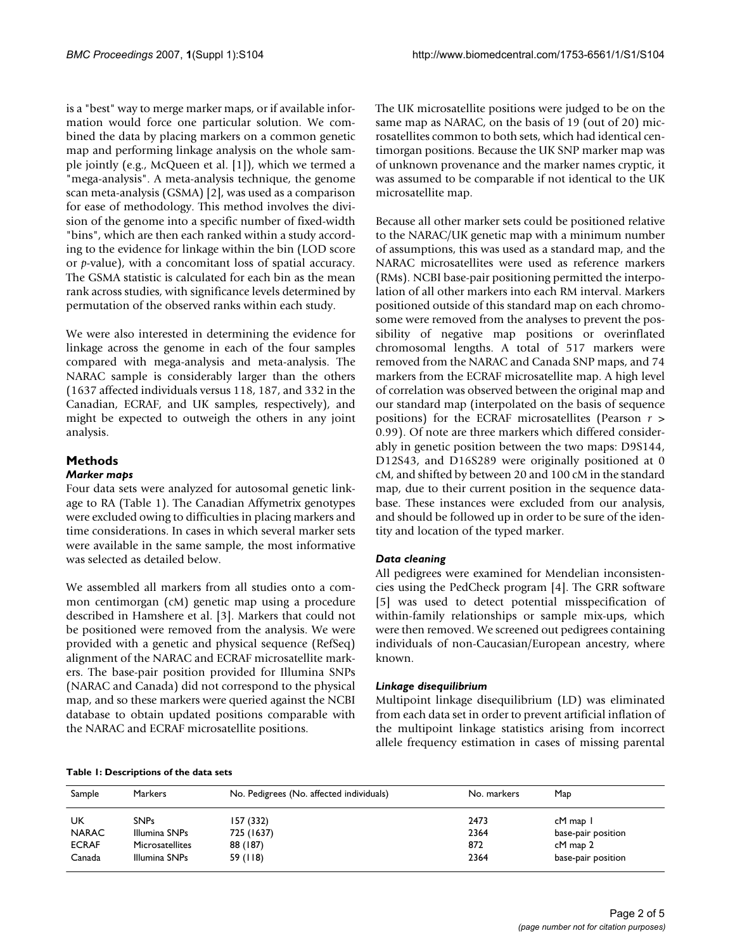is a "best" way to merge marker maps, or if available information would force one particular solution. We combined the data by placing markers on a common genetic map and performing linkage analysis on the whole sample jointly (e.g., McQueen et al. [1]), which we termed a "mega-analysis". A meta-analysis technique, the genome scan meta-analysis (GSMA) [2], was used as a comparison for ease of methodology. This method involves the division of the genome into a specific number of fixed-width "bins", which are then each ranked within a study according to the evidence for linkage within the bin (LOD score or *p*-value), with a concomitant loss of spatial accuracy. The GSMA statistic is calculated for each bin as the mean rank across studies, with significance levels determined by permutation of the observed ranks within each study.

We were also interested in determining the evidence for linkage across the genome in each of the four samples compared with mega-analysis and meta-analysis. The NARAC sample is considerably larger than the others (1637 affected individuals versus 118, 187, and 332 in the Canadian, ECRAF, and UK samples, respectively), and might be expected to outweigh the others in any joint analysis.

# **Methods**

# *Marker maps*

Four data sets were analyzed for autosomal genetic linkage to RA (Table 1). The Canadian Affymetrix genotypes were excluded owing to difficulties in placing markers and time considerations. In cases in which several marker sets were available in the same sample, the most informative was selected as detailed below.

We assembled all markers from all studies onto a common centimorgan (cM) genetic map using a procedure described in Hamshere et al. [3]. Markers that could not be positioned were removed from the analysis. We were provided with a genetic and physical sequence (RefSeq) alignment of the NARAC and ECRAF microsatellite markers. The base-pair position provided for Illumina SNPs (NARAC and Canada) did not correspond to the physical map, and so these markers were queried against the NCBI database to obtain updated positions comparable with the NARAC and ECRAF microsatellite positions.

The UK microsatellite positions were judged to be on the same map as NARAC, on the basis of 19 (out of 20) microsatellites common to both sets, which had identical centimorgan positions. Because the UK SNP marker map was of unknown provenance and the marker names cryptic, it was assumed to be comparable if not identical to the UK microsatellite map.

Because all other marker sets could be positioned relative to the NARAC/UK genetic map with a minimum number of assumptions, this was used as a standard map, and the NARAC microsatellites were used as reference markers (RMs). NCBI base-pair positioning permitted the interpolation of all other markers into each RM interval. Markers positioned outside of this standard map on each chromosome were removed from the analyses to prevent the possibility of negative map positions or overinflated chromosomal lengths. A total of 517 markers were removed from the NARAC and Canada SNP maps, and 74 markers from the ECRAF microsatellite map. A high level of correlation was observed between the original map and our standard map (interpolated on the basis of sequence positions) for the ECRAF microsatellites (Pearson *r* > 0.99). Of note are three markers which differed considerably in genetic position between the two maps: D9S144, D12S43, and D16S289 were originally positioned at 0 cM, and shifted by between 20 and 100 cM in the standard map, due to their current position in the sequence database. These instances were excluded from our analysis, and should be followed up in order to be sure of the identity and location of the typed marker.

# *Data cleaning*

All pedigrees were examined for Mendelian inconsistencies using the PedCheck program [4]. The GRR software [5] was used to detect potential misspecification of within-family relationships or sample mix-ups, which were then removed. We screened out pedigrees containing individuals of non-Caucasian/European ancestry, where known.

# *Linkage disequilibrium*

Multipoint linkage disequilibrium (LD) was eliminated from each data set in order to prevent artificial inflation of the multipoint linkage statistics arising from incorrect allele frequency estimation in cases of missing parental

#### **Table 1: Descriptions of the data sets**

| Sample       | Markers         | No. Pedigrees (No. affected individuals) | No. markers | Map                |  |
|--------------|-----------------|------------------------------------------|-------------|--------------------|--|
| UK           | <b>SNPs</b>     | 157 (332)                                | 2473        | cM map 1           |  |
| <b>NARAC</b> | Illumina SNPs   | 725 (1637)                               | 2364        | base-pair position |  |
| <b>ECRAF</b> | Microsatellites | 88 (187)                                 | 872         | cM map 2           |  |
| Canada       | Illumina SNPs   | 59 (118)                                 | 2364        | base-pair position |  |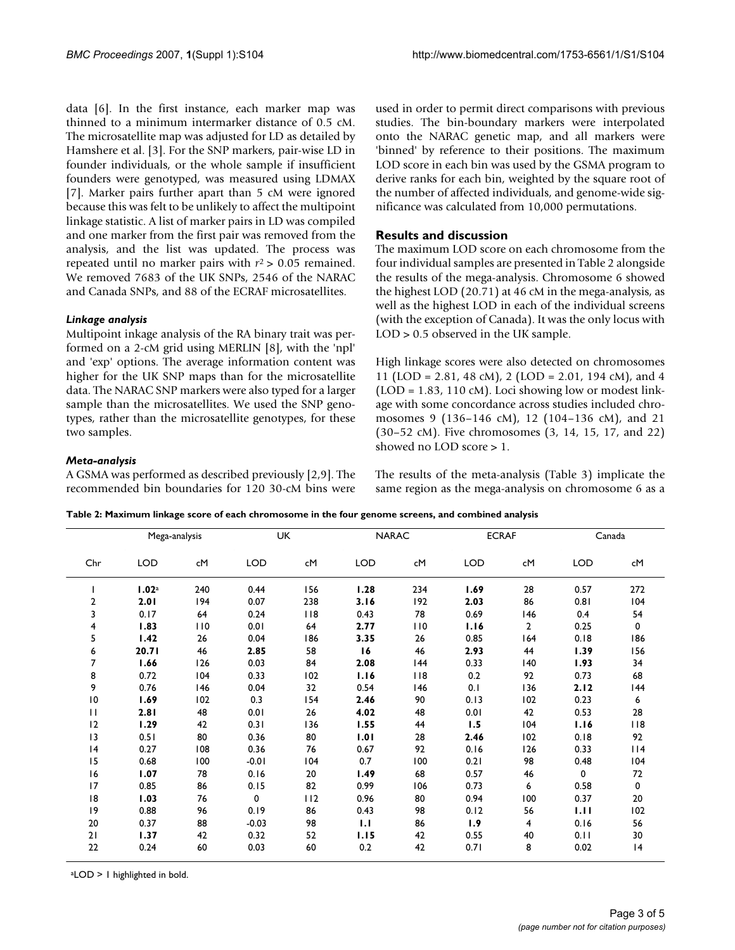data [6]. In the first instance, each marker map was thinned to a minimum intermarker distance of 0.5 cM. The microsatellite map was adjusted for LD as detailed by Hamshere et al. [3]. For the SNP markers, pair-wise LD in founder individuals, or the whole sample if insufficient founders were genotyped, was measured using LDMAX [7]. Marker pairs further apart than 5 cM were ignored because this was felt to be unlikely to affect the multipoint linkage statistic. A list of marker pairs in LD was compiled and one marker from the first pair was removed from the analysis, and the list was updated. The process was repeated until no marker pairs with  $r^2 > 0.05$  remained. We removed 7683 of the UK SNPs, 2546 of the NARAC and Canada SNPs, and 88 of the ECRAF microsatellites.

# *Linkage analysis*

Multipoint inkage analysis of the RA binary trait was performed on a 2-cM grid using MERLIN [8], with the 'npl' and 'exp' options. The average information content was higher for the UK SNP maps than for the microsatellite data. The NARAC SNP markers were also typed for a larger sample than the microsatellites. We used the SNP genotypes, rather than the microsatellite genotypes, for these two samples.

used in order to permit direct comparisons with previous studies. The bin-boundary markers were interpolated onto the NARAC genetic map, and all markers were 'binned' by reference to their positions. The maximum LOD score in each bin was used by the GSMA program to derive ranks for each bin, weighted by the square root of the number of affected individuals, and genome-wide significance was calculated from 10,000 permutations.

# **Results and discussion**

The maximum LOD score on each chromosome from the four individual samples are presented in Table 2 alongside the results of the mega-analysis. Chromosome 6 showed the highest LOD (20.71) at 46 cM in the mega-analysis, as well as the highest LOD in each of the individual screens (with the exception of Canada). It was the only locus with LOD > 0.5 observed in the UK sample.

High linkage scores were also detected on chromosomes 11 (LOD = 2.81, 48 cM), 2 (LOD = 2.01, 194 cM), and 4  $(LOD = 1.83, 110 \text{ cM})$ . Loci showing low or modest linkage with some concordance across studies included chromosomes 9 (136–146 cM), 12 (104–136 cM), and 21 (30–52 cM). Five chromosomes (3, 14, 15, 17, and 22) showed no LOD score > 1.

# *Meta-analysis*

A GSMA was performed as described previously [2,9]. The recommended bin boundaries for 120 30-cM bins were The results of the meta-analysis (Table 3) implicate the same region as the mega-analysis on chromosome 6 as a

|                | Mega-analysis |     |             | <b>UK</b> | <b>NARAC</b>                  |     |            | <b>ECRAF</b>   |            | Canada      |
|----------------|---------------|-----|-------------|-----------|-------------------------------|-----|------------|----------------|------------|-------------|
| Chr            | <b>LOD</b>    | cM  | <b>LOD</b>  | cM        | <b>LOD</b>                    | cM  | <b>LOD</b> | cM             | <b>LOD</b> | сM          |
|                | 1.02a         | 240 | 0.44        | 156       | 1.28                          | 234 | 1.69       | 28             | 0.57       | 272         |
| $\overline{2}$ | 2.01          | 194 | 0.07        | 238       | 3.16                          | 192 | 2.03       | 86             | 0.81       | 104         |
| 3              | 0.17          | 64  | 0.24        | $ $ $ $ 8 | 0.43                          | 78  | 0.69       | 146            | 0.4        | 54          |
| 4              | 1.83          | 110 | 0.01        | 64        | 2.77                          | 110 | 1.16       | $\overline{2}$ | 0.25       | $\mathbf 0$ |
| 5              | 1.42          | 26  | 0.04        | 186       | 3.35                          | 26  | 0.85       | 164            | 0.18       | 186         |
| 6              | 20.71         | 46  | 2.85        | 58        | 16                            | 46  | 2.93       | 44             | 1.39       | 156         |
| 7              | 1.66          | 126 | 0.03        | 84        | 2.08                          | 144 | 0.33       | 140            | 1.93       | 34          |
| 8              | 0.72          | 104 | 0.33        | 102       | 1.16                          | 118 | 0.2        | 92             | 0.73       | 68          |
| 9              | 0.76          | 146 | 0.04        | 32        | 0.54                          | 146 | 0.1        | 136            | 2.12       | 144         |
| 10             | 1.69          | 102 | 0.3         | 154       | 2.46                          | 90  | 0.13       | 102            | 0.23       | 6           |
| П              | 2.81          | 48  | 0.01        | 26        | 4.02                          | 48  | 0.01       | 42             | 0.53       | 28          |
| 12             | 1.29          | 42  | 0.31        | 136       | 1.55                          | 44  | 1.5        | 104            | 1.16       | 118         |
| $ 3\rangle$    | 0.51          | 80  | 0.36        | 80        | 1.01                          | 28  | 2.46       | 102            | 0.18       | 92          |
| 4              | 0.27          | 108 | 0.36        | 76        | 0.67                          | 92  | 0.16       | 126            | 0.33       | 114         |
| 15             | 0.68          | 100 | $-0.01$     | 104       | 0.7                           | 100 | 0.21       | 98             | 0.48       | 104         |
| 16             | 1.07          | 78  | 0.16        | 20        | 1.49                          | 68  | 0.57       | 46             | 0          | 72          |
| 17             | 0.85          | 86  | 0.15        | 82        | 0.99                          | 106 | 0.73       | 6              | 0.58       | $\mathbf 0$ |
| 18             | 1.03          | 76  | $\mathbf 0$ | 112       | 0.96                          | 80  | 0.94       | 100            | 0.37       | 20          |
| 9              | 0.88          | 96  | 0.19        | 86        | 0.43                          | 98  | 0.12       | 56             | 1.11       | 102         |
| 20             | 0.37          | 88  | $-0.03$     | 98        | $\mathbf{I} \cdot \mathbf{I}$ | 86  | 1.9        | $\overline{4}$ | 0.16       | 56          |
| 21             | 1.37          | 42  | 0.32        | 52        | 1.15                          | 42  | 0.55       | 40             | 0.11       | 30          |
| 22             | 0.24          | 60  | 0.03        | 60        | 0.2                           | 42  | 0.71       | 8              | 0.02       | 4           |

aLOD > 1 highlighted in bold.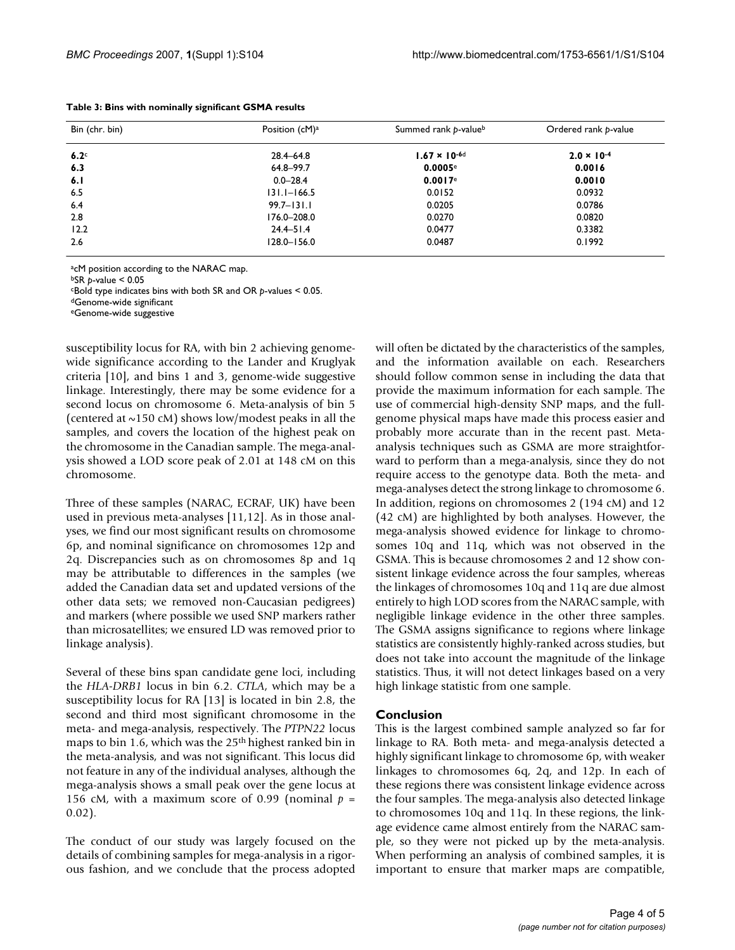| Bin (chr. bin)   | Position (cM) <sup>a</sup> | Summed rank p-valueb   | Ordered rank p-value |  |
|------------------|----------------------------|------------------------|----------------------|--|
| 6.2 <sup>c</sup> | $28.4 - 64.8$              | $1.67 \times 10^{-6d}$ | $2.0 \times 10^{-4}$ |  |
| 6.3              | 64.8-99.7                  | 0.0005e                | 0.0016               |  |
| 6.1              | $0.0 - 28.4$               | 0.0017e                | 0.0010               |  |
| 6.5              | $131.1 - 166.5$            | 0.0152                 | 0.0932               |  |
| 6.4              | $99.7 - 131.1$             | 0.0205                 | 0.0786               |  |
| 2.8              | 176.0-208.0                | 0.0270                 | 0.0820               |  |
| 12.2             | $24.4 - 51.4$              | 0.0477                 | 0.3382               |  |
| 2.6              | $128.0 - 156.0$            | 0.0487                 | 0.1992               |  |

**Table 3: Bins with nominally significant GSMA results**

acM position according to the NARAC map.

bSR *p*-value < 0.05

cBold type indicates bins with both SR and OR *p*-values < 0.05.

dGenome-wide significant

eGenome-wide suggestive

susceptibility locus for RA, with bin 2 achieving genomewide significance according to the Lander and Kruglyak criteria [10], and bins 1 and 3, genome-wide suggestive linkage. Interestingly, there may be some evidence for a second locus on chromosome 6. Meta-analysis of bin 5 (centered at  $\sim$ 150 cM) shows low/modest peaks in all the samples, and covers the location of the highest peak on the chromosome in the Canadian sample. The mega-analysis showed a LOD score peak of 2.01 at 148 cM on this chromosome.

Three of these samples (NARAC, ECRAF, UK) have been used in previous meta-analyses [11,12]. As in those analyses, we find our most significant results on chromosome 6p, and nominal significance on chromosomes 12p and 2q. Discrepancies such as on chromosomes 8p and 1q may be attributable to differences in the samples (we added the Canadian data set and updated versions of the other data sets; we removed non-Caucasian pedigrees) and markers (where possible we used SNP markers rather than microsatellites; we ensured LD was removed prior to linkage analysis).

Several of these bins span candidate gene loci, including the *HLA-DRB1* locus in bin 6.2. *CTLA*, which may be a susceptibility locus for RA [13] is located in bin 2.8, the second and third most significant chromosome in the meta- and mega-analysis, respectively. The *PTPN22* locus maps to bin 1.6, which was the 25<sup>th</sup> highest ranked bin in the meta-analysis, and was not significant. This locus did not feature in any of the individual analyses, although the mega-analysis shows a small peak over the gene locus at 156 cM, with a maximum score of 0.99 (nominal  $p =$ 0.02).

The conduct of our study was largely focused on the details of combining samples for mega-analysis in a rigorous fashion, and we conclude that the process adopted

will often be dictated by the characteristics of the samples, and the information available on each. Researchers should follow common sense in including the data that provide the maximum information for each sample. The use of commercial high-density SNP maps, and the fullgenome physical maps have made this process easier and probably more accurate than in the recent past. Metaanalysis techniques such as GSMA are more straightforward to perform than a mega-analysis, since they do not require access to the genotype data. Both the meta- and mega-analyses detect the strong linkage to chromosome 6. In addition, regions on chromosomes 2 (194 cM) and 12 (42 cM) are highlighted by both analyses. However, the mega-analysis showed evidence for linkage to chromosomes 10q and 11q, which was not observed in the GSMA. This is because chromosomes 2 and 12 show consistent linkage evidence across the four samples, whereas the linkages of chromosomes 10q and 11q are due almost entirely to high LOD scores from the NARAC sample, with negligible linkage evidence in the other three samples. The GSMA assigns significance to regions where linkage statistics are consistently highly-ranked across studies, but does not take into account the magnitude of the linkage statistics. Thus, it will not detect linkages based on a very high linkage statistic from one sample.

#### **Conclusion**

This is the largest combined sample analyzed so far for linkage to RA. Both meta- and mega-analysis detected a highly significant linkage to chromosome 6p, with weaker linkages to chromosomes 6q, 2q, and 12p. In each of these regions there was consistent linkage evidence across the four samples. The mega-analysis also detected linkage to chromosomes 10q and 11q. In these regions, the linkage evidence came almost entirely from the NARAC sample, so they were not picked up by the meta-analysis. When performing an analysis of combined samples, it is important to ensure that marker maps are compatible,